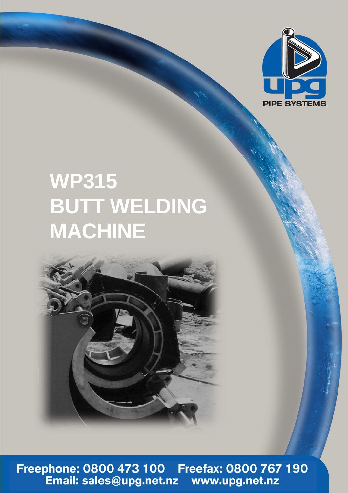

## **WP315 BUTT WELDING MACHINE**



Freephone: 0800 473 100 Freefax: 0800 767 190<br>Email: sales@upg.net.nz www.upg.net.nz